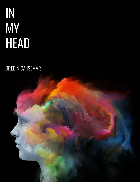# IN MY HEAD

# DREE-NICA ISEMAR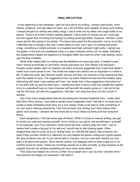#### **FINAL REFLECTION**

In the beginning of the semester I was not sure about my writing. I always read books, short stories, whatever, and had ideas for them, but I did not think I was capable of doing such writing. I always thought my writing was pretty cringy. I use to write out my ideas and rough drafts of my stories. There is an online writing/ reading website I use to post my stories just so I could get into the regular flow of writing and hoping my writing would get better. However, I felt like I could never get the flow going in my stories. The ideas were great but the execution, not so much.But I definitely see a change in the way I wrote before to now. Like I said, my writing was pretty cringy, something a middle schooler or a lowered level high schooler might write. I cannot say I've gotten to the level of a published writer or a peer reviewed article, but it's better. Definitely the assignments helped me organize my thoughts better and improve what I was lacking, which was the flow of details.

What really helped with my writing was the feedback we would get back. It helped to see what I should accentuate on and what I should just leave out. This helped a lot because I thought certain details were not needed, but when someone suggested that I insert that detail it made much more sense to me. This made me realize why editors are so important in a writer's life. It helps the writer see what the reader will see and they can improve on the experience they want the reader to have. The suggestions from my peers helped me see how the readers were interacting with what I was reading and how I can better that. A few suggestions that stood out to me were with my second short story. I wanted the story to have a feel and wanted the readers to try to understand how my main character will feel with the events going on. I did not hit the nail the first time, but with the suggestions I feel like I can drag that story out into a book if I wanted.

Out of the many assignments that we did writing and received feedback from, I really liked was Short Story writing. I was able to extract some imagination that I had left in my head and to create a really interesting short story. As a avid reader, finally to be able to write something of my own was a relaxing experience. I did not just enjoy only writing, but I liked reding other peers' short stories. I showed me how there are so much ideas out there and how everyone thinks.

Each assignment, I felt had some type of lesson. When it comes to memoir writing, you get to revisit your past and expose yourself. And in doing so you get to see somethings in yourself. In my example, one of my memoirs I wrote about the time I used to play the violin. I can to realize that it made a big part of my self and I would love to start playing again. Other assignments were to push us to our writing limits, so I felt like the lesson was everyone can write if they put their minds to it. Memoirs not only helped the person writing but it gives people the type of person you are. If you cannot talk to a person, but you read their memoir you can learn a lot about that person. Short stories, poetry, and dialogue were to help us get out of our comfort zones for some. These are not things people do or wite normally, so they showed us the capacity that we can achieve something we have never done before.

Thiis class has helped me a lot as a writer and a reader and I can say that I will take what I have learned and apply it to whanever I will need it.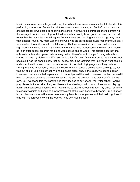#### **MEMOIR**

Music has always been a huge part of my life. When I was in elementary school, I attended this performing arts school. So, we had all the classes: music, dance, art. But before that I was at another school, it was not a performing arts school, however it did introduce me to something that changed my life: violin playing. I don't remember exactly how I got in the program, but I do remember the music teacher taking me from my class and handing me a violin. I go way back with classical music. My mom was the one who was big on classical music first and would play it for me when I was little to help me fall asleep. That made classical music and instruments ingrained in my blood. When my mom found out that I was introduced to the violin and I would be in an after-school program for it, she was excited and so was I. This started a journey that only lasted a few short years unfortunately. When I transferred to the performing arts school, I started to hone my violin skills. We used to do a lot of shows. One stuck out to me the most not because it was the annual show that our school did, it the last time that I played in front of a big audience. I had to move to another school and did not start playing again until high school. During that time in between, I would try to look for violin schools are classes I could go to, but I was out of luck until high school. We had a music class, and, in the class, we had to pick an instrument that we wanted to play, and of course I picked the violin. However, the teacher said it was not possible because they had limited violins and the only for me to play was if I had my own. So, I went and told my parents and they decided to buy one for me. After school I would play pieces, but soon after that year I have not touched my violin. I would love to start playing again, but because it's been so long, I would like to attend school to refresh my skills. I still listen to certain violinists and imagine how professional at the violin I could've became. But all I know is that classical music will always be one of my favorite music genres and that violin I got would stay with me forever knowing the journey I had with violin playing.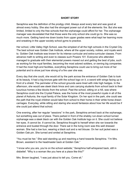## **SHORT STORY**

Seraphina was the definition of the prodigy child. Always aced every test and was good at almost every hobby. She also had the strongest power out of all the elements: fire. But she was limited, limited to only the free schools that the orphanage could afford for her. The orphanage manager was devastated that that those were the only school she could go to. She was so much more. Getting hand-me down books from upper grades were what kept her learning more and sneaking in the upper society school gyms to practice.

Her school, Little Valley High School, was the simplest of all the high schools in the Crystal City. The best school was Golden Oak Institute, where all the upper society, nobles, and royals went to. Golden Oak Institute was known for its intense curricular and extra-curricular classes. From advance math to writing and even to classes such Powers 101. Everyone who attended managed to graduate with their elemental powers maxed out and getting the best of jobs, such as working for the royal families, becoming the most adored soldiers, or owning big companies. It had the most high-end facilities, everything Seraphina could use to bring out more of her potential and to show just how strong of a fire user she was.

Every day that she could, she would sit by the park across the entrance of Golden Oak to look at its beauty. It had a big bronze gate with the school logo on it, a sword with wings facing up in front of a shield. The perimeter of the school grounds were lined with mile high hedges. In the afternoon, she would see sleek black limos and cars carrying students from school back to their luxurious homes a few blocks from the school. Past the school, sitting on a hill, was where Seraphina could she the Crystal Palace, was the home of the most powerful royals in all of the planet of Asilunia, the royal family of the Solar Kingdom. On her spot in the park, she could see the path that the royal children would take from school to their home in their white horse drawn carriages. Everyday, while sitting and staring she would fantasize about how her life would be if she could just attend that school.

One evening, after her regular "sessions" in the park, Seraphina arrived back at the orphanage, but something was out of place. There parked in front of the shabby run-down school turned orphanage was a sleek black car with the Golden Oak Institute logo on it. She could not believe her eyes. *It cannot be. It cannot be*, Seraphina thought to herself when she ran towards the entrance and busted through the door. There sat in the living room was this well dressed woman. She had a low bun, wearing a black suit and a red blouse. On her suit jacket was a Golden Oak pin. She turned and smiled at Seraphina.

"You must be her," She said standing up and reaching a hand towards Seraphina. "I'm Mrs. Brown, assistant to the headmaster back at Golden Oak."

"I know who you are, you're on the school website," Seraphina half-whispered back, still in disbelief. "Why is a woman like you here at a place like this?"

Mrs. Brown laughed, "I was just about to tell you. Come sit."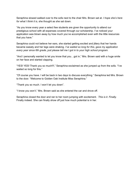Seraphina slowed walked over to the sofa next to the chair Mrs. Brown sat at. *I hope she's here for what I think it is,* she thought as she sat down.

"As you know every year a select few students are given the opportunity to attend our prestigious school with all expenses covered through our scholarship. I've noticed your application was blown away by how much you've accomplished even with the little resources that you have."

Seraphina could not believe her ears, she started getting excited and jittery that her hands became sweaty and her legs were shaking. *I've waited so long for this, gave my application every year since 6th grade, just please tell me I got in to your high school program.*

"And I personally wanted to let you know that you…got in," Mrs. Brown said with a huge smile on her face and started clapping.

"YES! YES! Thank you so much!!!," Seraphina exclaimed as she jumped up from the sofa. "I've waited so long for this."

"Of course you have. I will be back in two days to discuss everything." Seraphina led Mrs. Brown to the door. "Welcome to Golden Oak Institute Miss Seraphina."

"Thank you so much. I won't let you down".

"I know you won't," Mrs. Brown said as she entered the car and drove off.

Seraphina closed the door and ran to her room jumping with excitement. *This is it. Finally.* Finally indeed. She can finally show off just how much potential is in her.